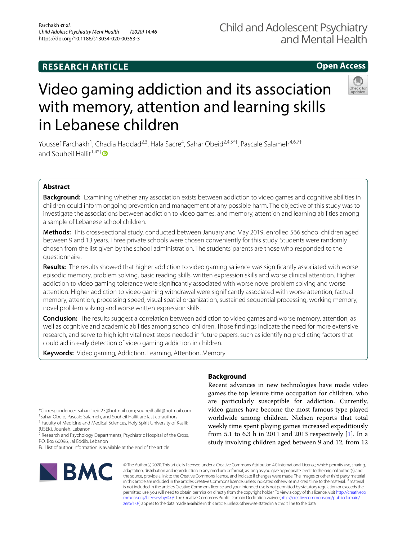# **RESEARCH ARTICLE**

# **Open Access**



# Video gaming addiction and its association with memory, attention and learning skills in Lebanese children

Youssef Farchakh<sup>1</sup>, Chadia Haddad<sup>2,3</sup>, Hala Sacre<sup>4</sup>, Sahar Obeid<sup>2,4,5\*†</sup>, Pascale Salameh<sup>4,6,7†</sup> and Souheil Hallit<sup>1,4\*[†](http://orcid.org/0000-0001-6918-5689)</sup> $\bullet$ 

# **Abstract**

**Background:** Examining whether any association exists between addiction to video games and cognitive abilities in children could inform ongoing prevention and management of any possible harm. The objective of this study was to investigate the associations between addiction to video games, and memory, attention and learning abilities among a sample of Lebanese school children.

**Methods:** This cross-sectional study, conducted between January and May 2019, enrolled 566 school children aged between 9 and 13 years. Three private schools were chosen conveniently for this study. Students were randomly chosen from the list given by the school administration. The students' parents are those who responded to the questionnaire.

**Results:** The results showed that higher addiction to video gaming salience was signifcantly associated with worse episodic memory, problem solving, basic reading skills, written expression skills and worse clinical attention. Higher addiction to video gaming tolerance were signifcantly associated with worse novel problem solving and worse attention. Higher addiction to video gaming withdrawal were signifcantly associated with worse attention, factual memory, attention, processing speed, visual spatial organization, sustained sequential processing, working memory, novel problem solving and worse written expression skills.

**Conclusion:** The results suggest a correlation between addiction to video games and worse memory, attention, as well as cognitive and academic abilities among school children. Those fndings indicate the need for more extensive research, and serve to highlight vital next steps needed in future papers, such as identifying predicting factors that could aid in early detection of video gaming addiction in children.

**Keywords:** Video gaming, Addiction, Learning, Attention, Memory

\*Correspondence: saharobeid23@hotmail.com; souheilhallit@hotmail.com † Sahar Obeid, Pascale Salameh, and Souheil Hallit are last co-authors

<sup>1</sup> Faculty of Medicine and Medical Sciences, Holy Spirit University of Kaslik (USEK), Jounieh, Lebanon

<sup>2</sup> Research and Psychology Departments, Psychiatric Hospital of the Cross, P.O. Box 60096, Jal Eddib, Lebanon

Full list of author information is available at the end of the article



# **Background**

Recent advances in new technologies have made video games the top leisure time occupation for children, who are particularly susceptible for addiction. Currently, video games have become the most famous type played worldwide among children. Nielsen reports that total weekly time spent playing games increased expeditiously from 5.1 to 6.3 h in 2011 and 2013 respectively [[1\]](#page-9-0). In a study involving children aged between 9 and 12, from 12

© The Author(s) 2020. This article is licensed under a Creative Commons Attribution 4.0 International License, which permits use, sharing, adaptation, distribution and reproduction in any medium or format, as long as you give appropriate credit to the original author(s) and the source, provide a link to the Creative Commons licence, and indicate if changes were made. The images or other third party material in this article are included in the article's Creative Commons licence, unless indicated otherwise in a credit line to the material. If material is not included in the article's Creative Commons licence and your intended use is not permitted by statutory regulation or exceeds the permitted use, you will need to obtain permission directly from the copyright holder. To view a copy of this licence, visit [http://creativeco](http://creativecommons.org/licenses/by/4.0/) [mmons.org/licenses/by/4.0/.](http://creativecommons.org/licenses/by/4.0/) The Creative Commons Public Domain Dedication waiver ([http://creativecommons.org/publicdomain/](http://creativecommons.org/publicdomain/zero/1.0/) [zero/1.0/\)](http://creativecommons.org/publicdomain/zero/1.0/) applies to the data made available in this article, unless otherwise stated in a credit line to the data.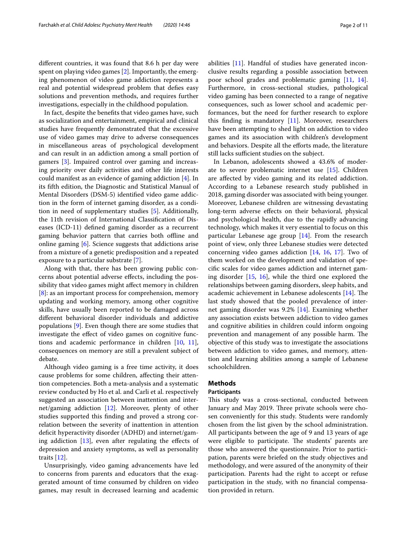diferent countries, it was found that 8.6 h per day were spent on playing video games [[2\]](#page-9-1). Importantly, the emerging phenomenon of video game addiction represents a real and potential widespread problem that defes easy solutions and prevention methods, and requires further investigations, especially in the childhood population.

In fact, despite the benefts that video games have, such as socialization and entertainment, empirical and clinical studies have frequently demonstrated that the excessive use of video games may drive to adverse consequences in miscellaneous areas of psychological development and can result in an addiction among a small portion of gamers [\[3](#page-9-2)]. Impaired control over gaming and increasing priority over daily activities and other life interests could manifest as an evidence of gaming addiction [[4\]](#page-9-3). In its ffth edition, the Diagnostic and Statistical Manual of Mental Disorders (DSM-5) identifed video game addiction in the form of internet gaming disorder, as a condition in need of supplementary studies [\[5](#page-9-4)]. Additionally, the 11th revision of International Classifcation of Diseases (ICD-11) defned gaming disorder as a recurrent gaming behavior pattern that carries both ofine and online gaming [[6\]](#page-9-5). Science suggests that addictions arise from a mixture of a genetic predisposition and a repeated exposure to a particular substrate [[7](#page-9-6)].

Along with that, there has been growing public concerns about potential adverse efects, including the possibility that video games might afect memory in children [[8\]](#page-9-7): as an important process for comprehension, memory updating and working memory, among other cognitive skills, have usually been reported to be damaged across diferent behavioral disorder individuals and addictive populations [\[9](#page-9-8)]. Even though there are some studies that investigate the efect of video games on cognitive functions and academic performance in children [\[10](#page-9-9), [11](#page-9-10)], consequences on memory are still a prevalent subject of debate.

Although video gaming is a free time activity, it does cause problems for some children, afecting their attention competencies. Both a meta-analysis and a systematic review conducted by Ho et al. and Carli et al. respectively suggested an association between inattention and internet/gaming addiction [\[12](#page-9-11)]. Moreover, plenty of other studies supported this fnding and proved a strong correlation between the severity of inattention in attention deficit hyperactivity disorder (ADHD) and internet/gaming addiction [[13](#page-9-12)], even after regulating the efects of depression and anxiety symptoms, as well as personality traits [\[12](#page-9-11)].

Unsurprisingly, video gaming advancements have led to concerns from parents and educators that the exaggerated amount of time consumed by children on video games, may result in decreased learning and academic abilities [\[11](#page-9-10)]. Handful of studies have generated inconclusive results regarding a possible association between poor school grades and problematic gaming [\[11,](#page-9-10) [14](#page-9-13)]. Furthermore, in cross-sectional studies, pathological video gaming has been connected to a range of negative consequences, such as lower school and academic performances, but the need for further research to explore this finding is mandatory  $[11]$  $[11]$ . Moreover, researchers have been attempting to shed light on addiction to video games and its association with children's development and behaviors. Despite all the efforts made, the literature still lacks sufficient studies on the subject.

In Lebanon, adolescents showed a 43.6% of moderate to severe problematic internet use [[15\]](#page-9-14). Children are afected by video gaming and its related addiction. According to a Lebanese research study published in 2018, gaming disorder was associated with being younger. Moreover, Lebanese children are witnessing devastating long-term adverse efects on their behavioral, physical and psychological health, due to the rapidly advancing technology, which makes it very essential to focus on this particular Lebanese age group [[14\]](#page-9-13). From the research point of view, only three Lebanese studies were detected concerning video games addiction [[14,](#page-9-13) [16,](#page-9-15) [17](#page-9-16)]. Two of them worked on the development and validation of specifc scales for video games addiction and internet gaming disorder [\[15](#page-9-14), [16](#page-9-15)], while the third one explored the relationships between gaming disorders, sleep habits, and academic achievement in Lebanese adolescents  $[14]$  $[14]$ . The last study showed that the pooled prevalence of internet gaming disorder was 9.2% [\[14](#page-9-13)]. Examining whether any association exists between addiction to video games and cognitive abilities in children could inform ongoing prevention and management of any possible harm. The objective of this study was to investigate the associations between addiction to video games, and memory, attention and learning abilities among a sample of Lebanese schoolchildren.

## **Methods**

#### **Participants**

This study was a cross-sectional, conducted between January and May 2019. Three private schools were chosen conveniently for this study. Students were randomly chosen from the list given by the school administration. All participants between the age of 9 and 13 years of age were eligible to participate. The students' parents are those who answered the questionnaire. Prior to participation, parents were briefed on the study objectives and methodology, and were assured of the anonymity of their participation. Parents had the right to accept or refuse participation in the study, with no fnancial compensation provided in return.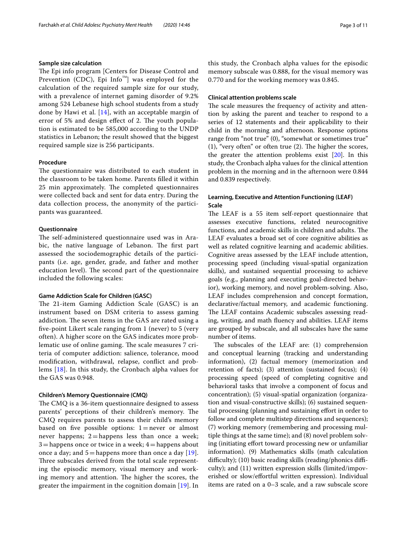#### **Sample size calculation**

The Epi info program [Centers for Disease Control and Prevention (CDC), Epi Info™] was employed for the calculation of the required sample size for our study, with a prevalence of internet gaming disorder of 9.2% among 524 Lebanese high school students from a study done by Hawi et al. [[14](#page-9-13)], with an acceptable margin of error of 5% and design effect of 2. The youth population is estimated to be 585,000 according to the UNDP statistics in Lebanon; the result showed that the biggest required sample size is 256 participants.

#### **Procedure**

The questionnaire was distributed to each student in the classroom to be taken home. Parents flled it within 25 min approximately. The completed questionnaires were collected back and sent for data entry. During the data collection process, the anonymity of the participants was guaranteed.

#### **Questionnaire**

The self-administered questionnaire used was in Arabic, the native language of Lebanon. The first part assessed the sociodemographic details of the participants (i.e. age, gender, grade, and father and mother education level). The second part of the questionnaire included the following scales:

#### **Game Addiction Scale for Children (GASC)**

The 21-item Gaming Addiction Scale (GASC) is an instrument based on DSM criteria to assess gaming addiction. The seven items in the GAS are rated using a fve-point Likert scale ranging from 1 (never) to 5 (very often). A higher score on the GAS indicates more problematic use of online gaming. The scale measures 7 criteria of computer addiction: salience, tolerance, mood modifcation, withdrawal, relapse, confict and problems [[18](#page-9-17)]. In this study, the Cronbach alpha values for the GAS was 0.948.

#### **Children's Memory Questionnaire (CMQ)**

The CMQ is a 36-item questionnaire designed to assess parents' perceptions of their children's memory. The CMQ requires parents to assess their child's memory based on five possible options:  $1 =$ never or almost never happens;  $2 =$  happens less than once a week;  $3$ = happens once or twice in a week;  $4$ = happens about once a day; and  $5=$  happens more than once a day  $[19]$  $[19]$  $[19]$ . Three subscales derived from the total scale representing the episodic memory, visual memory and working memory and attention. The higher the scores, the greater the impairment in the cognition domain [\[19\]](#page-9-18). In this study, the Cronbach alpha values for the episodic memory subscale was 0.888, for the visual memory was 0.770 and for the working memory was 0.845.

#### **Clinical attention problems scale**

The scale measures the frequency of activity and attention by asking the parent and teacher to respond to a series of 12 statements and their applicability to their child in the morning and afternoon. Response options range from "not true" (0), "somewhat or sometimes true"  $(1)$ , "very often" or often true  $(2)$ . The higher the scores, the greater the attention problems exist [[20\]](#page-9-19). In this study, the Cronbach alpha values for the clinical attention problem in the morning and in the afternoon were 0.844 and 0.839 respectively.

### **Learning, Executive and Attention Functioning (LEAF) Scale**

The LEAF is a 55 item self-report questionnaire that assesses executive functions, related neurocognitive functions, and academic skills in children and adults. The LEAF evaluates a broad set of core cognitive abilities as well as related cognitive learning and academic abilities. Cognitive areas assessed by the LEAF include attention, processing speed (including visual-spatial organization skills), and sustained sequential processing to achieve goals (e.g., planning and executing goal-directed behavior), working memory, and novel problem-solving. Also, LEAF includes comprehension and concept formation, declarative/factual memory, and academic functioning. The LEAF contains Academic subscales assessing reading, writing, and math fuency and abilities. LEAF items are grouped by subscale, and all subscales have the same number of items.

The subscales of the LEAF are:  $(1)$  comprehension and conceptual learning (tracking and understanding information), (2) factual memory (memorization and retention of facts); (3) attention (sustained focus); (4) processing speed (speed of completing cognitive and behavioral tasks that involve a component of focus and concentration); (5) visual-spatial organization (organization and visual-constructive skills); (6) sustained sequential processing (planning and sustaining efort in order to follow and complete multistep directions and sequences); (7) working memory (remembering and processing multiple things at the same time); and (8) novel problem solving (initiating efort toward processing new or unfamiliar information). (9) Mathematics skills (math calculation difficulty); (10) basic reading skills (reading/phonics difficulty); and (11) written expression skills (limited/impoverished or slow/efortful written expression). Individual items are rated on a 0–3 scale, and a raw subscale score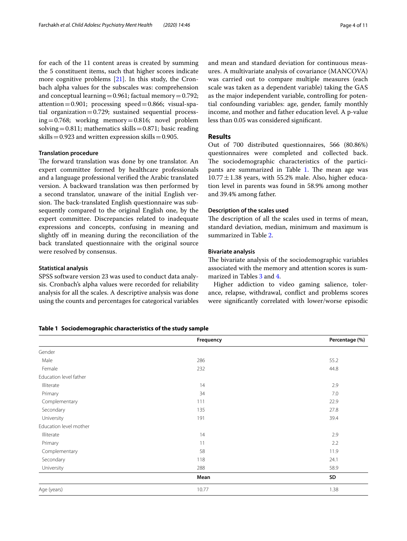for each of the 11 content areas is created by summing the 5 constituent items, such that higher scores indicate more cognitive problems [\[21](#page-9-20)]. In this study, the Cronbach alpha values for the subscales was: comprehension and conceptual learning=0.961; factual memory=0.792; attention=0.901; processing  $speed=0.866$ ; visual-spatial organization=0.729; sustained sequential process $ing=0.768$ ; working memory $=0.816$ ; novel problem solving=0.811; mathematics skills=0.871; basic reading skills =  $0.923$  and written expression skills =  $0.905$ .

#### **Translation procedure**

The forward translation was done by one translator. An expert committee formed by healthcare professionals and a language professional verifed the Arabic translated version. A backward translation was then performed by a second translator, unaware of the initial English version. The back-translated English questionnaire was subsequently compared to the original English one, by the expert committee. Discrepancies related to inadequate expressions and concepts, confusing in meaning and slightly off in meaning during the reconciliation of the back translated questionnaire with the original source were resolved by consensus.

#### **Statistical analysis**

SPSS software version 23 was used to conduct data analysis. Cronbach's alpha values were recorded for reliability analysis for all the scales. A descriptive analysis was done using the counts and percentages for categorical variables and mean and standard deviation for continuous measures. A multivariate analysis of covariance (MANCOVA) was carried out to compare multiple measures (each scale was taken as a dependent variable) taking the GAS as the major independent variable, controlling for potential confounding variables: age, gender, family monthly income, and mother and father education level. A p-value less than 0.05 was considered signifcant.

#### **Results**

Out of 700 distributed questionnaires, 566 (80.86%) questionnaires were completed and collected back. The sociodemographic characteristics of the partici-pants are summarized in Table [1.](#page-3-0) The mean age was  $10.77 \pm 1.38$  years, with 55.2% male. Also, higher education level in parents was found in 58.9% among mother and 39.4% among father.

#### **Description of the scales used**

The description of all the scales used in terms of mean, standard deviation, median, minimum and maximum is summarized in Table [2.](#page-4-0)

#### **Bivariate analysis**

The bivariate analysis of the sociodemographic variables associated with the memory and attention scores is summarized in Tables [3](#page-4-1) and [4.](#page-5-0)

Higher addiction to video gaming salience, tolerance, relapse, withdrawal, confict and problems scores were signifcantly correlated with lower/worse episodic

#### <span id="page-3-0"></span>**Table 1 Sociodemographic characteristics of the study sample**

|                        | Frequency | Percentage (%) |
|------------------------|-----------|----------------|
| Gender                 |           |                |
| Male                   | 286       | 55.2           |
| Female                 | 232       | 44.8           |
| Education level father |           |                |
| Illiterate             | 14        | 2.9            |
| Primary                | 34        | 7.0            |
| Complementary          | 111       | 22.9           |
| Secondary              | 135       | 27.8           |
| University             | 191       | 39.4           |
| Education level mother |           |                |
| Illiterate             | 14        | 2.9            |
| Primary                | 11        | 2.2            |
| Complementary          | 58        | 11.9           |
| Secondary              | 118       | 24.1           |
| University             | 288       | 58.9           |
|                        | Mean      | SD             |
| Age (years)            | 10.77     | 1.38           |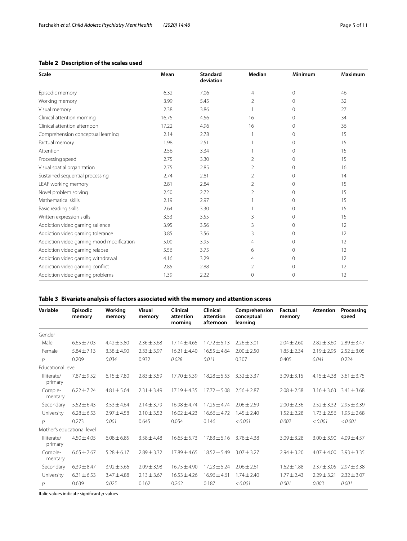# <span id="page-4-0"></span>**Table 2 Description of the scales used**

| <b>Scale</b>                             | Mean  | <b>Standard</b><br>deviation | Median         | Minimum      | <b>Maximum</b> |
|------------------------------------------|-------|------------------------------|----------------|--------------|----------------|
| Episodic memory                          | 6.32  | 7.06                         | $\overline{4}$ | $\mathbf{0}$ | 46             |
| Working memory                           | 3.99  | 5.45                         | 2              | 0            | 32             |
| Visual memory                            | 2.38  | 3.86                         |                | 0            | 27             |
| Clinical attention morning               | 16.75 | 4.56                         | 16             | $\Omega$     | 34             |
| Clinical attention afternoon             | 17.22 | 4.96                         | 16             | $\Omega$     | 36             |
| Comprehension conceptual learning        | 2.14  | 2.78                         |                | $\Omega$     | 15             |
| Factual memory                           | 1.98  | 2.51                         |                | 0            | 15             |
| Attention                                | 2.56  | 3.34                         |                | 0            | 15             |
| Processing speed                         | 2.75  | 3.30                         | 2              | 0            | 15             |
| Visual spatial organization              | 2.75  | 2.85                         | 2              | $\circ$      | 16             |
| Sustained sequential processing          | 2.74  | 2.81                         | 2              | 0            | 14             |
| LEAF working memory                      | 2.81  | 2.84                         | 2              | 0            | 15             |
| Novel problem solving                    | 2.50  | 2.72                         | 2              | 0            | 15             |
| Mathematical skills                      | 2.19  | 2.97                         |                | $\Omega$     | 15             |
| Basic reading skills                     | 2.64  | 3.30                         |                | $\Omega$     | 15             |
| Written expression skills                | 3.53  | 3.55                         | 3              | 0            | 15             |
| Addiction video gaming salience          | 3.95  | 3.56                         | 3              | $\Omega$     | 12             |
| Addiction video gaming tolerance         | 3.85  | 3.56                         | 3              | $\Omega$     | 12             |
| Addiction video gaming mood modification | 5.00  | 3.95                         | 4              | 0            | 12             |
| Addiction video gaming relapse           | 5.56  | 3.75                         | 6              | $\circ$      | 12             |
| Addiction video gaming withdrawal        | 4.16  | 3.29                         | 4              | $\circ$      | 12             |
| Addiction video gaming conflict          | 2.85  | 2.88                         | 2              | 0            | 12             |
| Addiction video gaming problems          | 1.39  | 2.22                         | 0              | $\mathbf{0}$ | 12             |

# <span id="page-4-1"></span>**Table 3 Bivariate analysis of factors associated with the memory and attention scores**

| Variable                   | Episodic<br>memory | Workina<br>memory | <b>Visual</b><br>memory | Clinical<br>attention<br>morning | Clinical<br>attention<br>afternoon | Comprehension<br>conceptual<br>learning | <b>Factual</b><br>memory | <b>Attention</b> | Processing<br>speed |
|----------------------------|--------------------|-------------------|-------------------------|----------------------------------|------------------------------------|-----------------------------------------|--------------------------|------------------|---------------------|
| Gender                     |                    |                   |                         |                                  |                                    |                                         |                          |                  |                     |
| Male                       | $6.65 \pm 7.03$    | $4.42 + 5.80$     | $2.36 \pm 3.68$         | $17.14 + 4.65$                   | $17.72 \pm 5.13$                   | $2.26 \pm 3.01$                         | $2.04 \pm 2.60$          | $2.82 \pm 3.60$  | $2.89 \pm 3.47$     |
| Female                     | $5.84 \pm 7.13$    | $3.38 \pm 4.90$   | $2.33 \pm 3.97$         | $16.21 \pm 4.40$                 | $16.55 \pm 4.64$                   | $2.00 \pm 2.50$                         | $1.85 \pm 2.34$          | $2.19 \pm 2.95$  | $2.52 \pm 3.05$     |
| $\overline{p}$             | 0.209              | 0.034             | 0.932                   | 0.028                            | 0.011                              | 0.307                                   | 0.405                    | 0.041            | 0.224               |
| <b>Educational level</b>   |                    |                   |                         |                                  |                                    |                                         |                          |                  |                     |
| Illiterate/<br>primary     | $7.87 \pm 9.52$    | $6.15 \pm 7.80$   | $2.83 \pm 3.59$         | $17.70 \pm 5.39$                 | $18.28 \pm 5.53$                   | $3.32 \pm 3.37$                         | $3.09 \pm 3.15$          | $4.15 + 4.38$    | $3.61 \pm 3.75$     |
| Comple-<br>mentary         | $6.22 \pm 7.24$    | $4.81 \pm 5.64$   | $2.31 \pm 3.49$         | $17.19 \pm 4.35$                 | $17.72 \pm 5.08$                   | $2.56 \pm 2.87$                         | $2.08 \pm 2.58$          | $3.16 \pm 3.63$  | $3.41 \pm 3.68$     |
| Secondary                  | $5.52 \pm 6.43$    | $3.53 \pm 4.64$   | $2.14 \pm 3.79$         | $16.98 \pm 4.74$                 | $17.25 \pm 4.74$                   | $2.06 \pm 2.59$                         | $2.00 \pm 2.36$          | $2.52 \pm 3.32$  | $2.95 \pm 3.39$     |
| University                 | $6.28 \pm 6.53$    | $2.97 \pm 4.58$   | $2.10 \pm 3.52$         | $16.02 \pm 4.23$                 | $16.66 \pm 4.72$                   | $1.45 \pm 2.40$                         | $1.52 \pm 2.28$          | $1.73 \pm 2.56$  | $1.95 \pm 2.68$     |
| р                          | 0.273              | 0.001             | 0.645                   | 0.054                            | 0.146                              | < 0.001                                 | 0.002                    | < 0.001          | < 0.001             |
| Mother's educational level |                    |                   |                         |                                  |                                    |                                         |                          |                  |                     |
| Illiterate/<br>primary     | $4.50 \pm 4.05$    | $6.08 \pm 6.85$   | $3.58 \pm 4.48$         | $16.65 + 5.73$                   | $17.83 + 5.16$                     | $3.78 + 4.38$                           | $3.09 \pm 3.28$          | $3.00 \pm 3.90$  | $4.09 \pm 4.57$     |
| Comple-<br>mentary         | $6.65 \pm 7.67$    | $5.28 \pm 6.17$   | $2.89 \pm 3.32$         | $17.89 \pm 4.65$                 | $18.52 \pm 5.49$                   | $3.07 + 3.27$                           | $2.94 \pm 3.20$          | $4.07 \pm 4.00$  | $3.93 \pm 3.35$     |
| Secondary                  | $6.39 \pm 8.47$    | $3.92 \pm 5.66$   | $2.09 \pm 3.98$         | $16.75 + 4.90$                   | $17.23 + 5.24$                     | $2.06 \pm 2.61$                         | $1.62 \pm 1.88$          | $2.37 \pm 3.05$  | $2.97 \pm 3.38$     |
| University                 | $6.31 \pm 6.53$    | $3.47 \pm 4.88$   | $2.13 \pm 3.67$         | $16.53 \pm 4.26$                 | $16.96 \pm 4.61$                   | $1.74 \pm 2.40$                         | $1.77 \pm 2.43$          | $2.29 \pm 3.21$  | $2.32 \pm 3.07$     |
| $\mathcal{P}$              | 0.639              | 0.025             | 0.162                   | 0.262                            | 0.187                              | < 0.001                                 | 0.001                    | 0.003            | 0.001               |

Italic values indicate signifcant *p*-values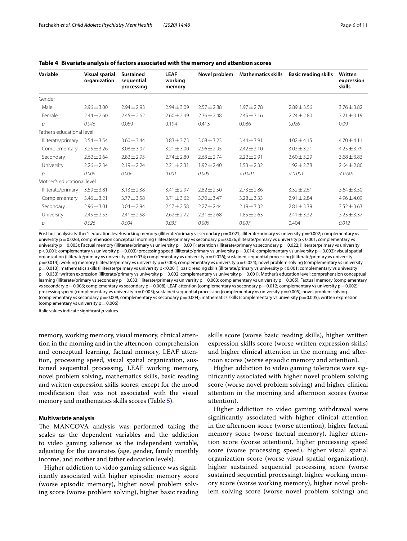| Variable                   | <b>Visual spatial</b><br>organization | <b>Sustained</b><br>sequential<br>processing | <b>LEAF</b><br>working<br>memory | Novel problem   | <b>Mathematics skills</b> | <b>Basic reading skills</b> | Written<br>expression<br>skills |
|----------------------------|---------------------------------------|----------------------------------------------|----------------------------------|-----------------|---------------------------|-----------------------------|---------------------------------|
| Gender                     |                                       |                                              |                                  |                 |                           |                             |                                 |
| Male                       | $2.96 \pm 3.00$                       | $2.94 \pm 2.93$                              | $2.94 \pm 3.09$                  | $2.57 \pm 2.88$ | $1.97 \pm 2.78$           | $2.89 \pm 3.56$             | $3.76 \pm 3.82$                 |
| Female                     | $2.44 \pm 2.60$                       | $2.45 \pm 2.62$                              | $2.60 \pm 2.49$                  | $2.36 \pm 2.48$ | $2.45 \pm 3.16$           | $2.24 \pm 2.80$             | $3.21 \pm 3.19$                 |
| р                          | 0.046                                 | 0.059                                        | 0.194                            | 0.413           | 0.086                     | 0.026                       | 0.09                            |
| Father's educational level |                                       |                                              |                                  |                 |                           |                             |                                 |
| Illiterate/primary         | $3.54 \pm 3.54$                       | $3.60 \pm 3.44$                              | $3.83 \pm 3.73$                  | $3.08 \pm 3.23$ | $3.44 \pm 3.91$           | $4.02 \pm 4.15$             | $4.70 \pm 4.11$                 |
| Complementary              | $3.25 \pm 3.26$                       | $3.08 \pm 3.07$                              | $3.21 \pm 3.00$                  | $2.96 \pm 2.95$ | $2.42 \pm 3.10$           | $3.03 \pm 3.21$             | $4.25 \pm 3.79$                 |
| Secondary                  | $2.62 \pm 2.64$                       | $2.82 \pm 2.93$                              | $2.74 \pm 2.80$                  | $2.63 \pm 2.74$ | $2.22 \pm 2.91$           | $2.60 \pm 3.29$             | $3.68 \pm 3.83$                 |
| University                 | $2.26 \pm 2.34$                       | $2.19 \pm 2.24$                              | $2.21 \pm 2.31$                  | $1.92 \pm 2.40$ | $1.53 \pm 2.32$           | $1.92 \pm 2.78$             | $2.64 \pm 2.80$                 |
| р                          | 0.006                                 | 0.006                                        | 0.001                            | 0.005           | < 0.001                   | < 0.001                     | < 0.001                         |
| Mother's educational level |                                       |                                              |                                  |                 |                           |                             |                                 |
| Illiterate/primary         | $3.59 \pm 3.81$                       | $3.13 \pm 2.38$                              | $3.41 \pm 2.97$                  | $2.82 \pm 2.50$ | $2.73 \pm 2.86$           | $3.32 \pm 2.61$             | $3.64 \pm 3.50$                 |
| Complementary              | $3.46 \pm 3.21$                       | $3.77 \pm 3.58$                              | $3.71 \pm 3.62$                  | $3.70 \pm 3.47$ | $3.28 \pm 3.33$           | $2.91 \pm 2.84$             | $4.96 \pm 4.09$                 |
| Secondary                  | $2.96 \pm 3.01$                       | $3.04 \pm 2.94$                              | $2.57 \pm 2.58$                  | $2.27 \pm 2.44$ | $2.19 \pm 3.32$           | $2.81 \pm 3.39$             | $3.52 \pm 3.63$                 |
| University                 | $2.45 \pm 2.53$                       | $2.41 \pm 2.58$                              | $2.62 \pm 2.72$                  | $2.31 \pm 2.68$ | $1.85 \pm 2.63$           | $2.41 \pm 3.32$             | $3.23 \pm 3.37$                 |
| р                          | 0.026                                 | 0.004                                        | 0.035                            | 0.005           | 0.007                     | 0.404                       | 0.012                           |

#### <span id="page-5-0"></span>**Table 4 Bivariate analysis of factors associated with the memory and attention scores**

Post hoc analysis: Father's education level: working memory (illiterate/primary vs secondary p=0.021; illiterate/primary vs university p=0.002; complementary vs university p=0.026); comprehension conceptual morning (illiterate/primary vs secondary p=0.036; illiterate/primary vs university p<0.001; complementary vs university  $p = 0.005$ ); Factual memory (illiterate/primary vs university  $p = 0.001$ ); attention (illiterate/primary vs secondary  $p = 0.022$ ; illiterate/primary vs university  $p$ <0.001; complementary vs university  $p = 0.003$ ; processing speed (illiterate/primary vs university  $p = 0.014$ ; complementary vs university  $p = 0.002$ ); visual spatial organization (illiterate/primary vs university  $p=0.034$ ; complementary vs university  $p=0.026$ ); sustained sequential processing (illiterate/primary vs university  $p=0.014$ ); working memory (illiterate/primary vs university  $p=0.003$ ; complementary vs university  $p=0.024$ ); novel problem solving (complementary vs university p=0.013); mathematics skills (illiterate/primary vs university p<0.001); basic reading skills (illiterate/primary vs university p<0.001; complementary vs university  $p=0.033$ ); written expression (illiterate/primary vs university  $p=0.002$ ; complementary vs university  $p=0.001$ ). Mother's education level: comprehension conceptual learning (illiterate/primary vs secondary  $p=0.033$ ; illiterate/primary vs university  $p=0.003$ ; complementary vs university  $p=0.005$ ); Factual memory (complementary vs secondary  $p = 0.006$ ; complementary vs secondary  $p = 0.008$ ); LEAF attention (complementary vs secondary  $p = 0.012$ ; complementary vs university  $p = 0.002$ ); processing speed (complementary vs university  $p = 0.005$ ); sustained sequential processing (complementary vs university  $p = 0.005$ ); novel problem solving (complementary vs secondary  $p = 0.009$ ; complementary vs secondary  $p = 0.004$ ); mathematics skills (complementary vs university  $p = 0.005$ ); written expression (complementary vs university  $p=0.006$ )

Italic values indicate signifcant *p*-values

memory, working memory, visual memory, clinical attention in the morning and in the afternoon, comprehension and conceptual learning, factual memory, LEAF attention, processing speed, visual spatial organization, sustained sequential processing, LEAF working memory, novel problem solving, mathematics skills, basic reading and written expression skills scores, except for the mood modifcation that was not associated with the visual memory and mathematics skills scores (Table [5\)](#page-6-0).

#### **Multivariate analysis**

The MANCOVA analysis was performed taking the scales as the dependent variables and the addiction to video gaming salience as the independent variable, adjusting for the covariates (age, gender, family monthly income, and mother and father education levels).

Higher addiction to video gaming salience was significantly associated with higher episodic memory score (worse episodic memory), higher novel problem solving score (worse problem solving), higher basic reading

skills score (worse basic reading skills), higher written expression skills score (worse written expression skills) and higher clinical attention in the morning and afternoon scores (worse episodic memory and attention).

Higher addiction to video gaming tolerance were signifcantly associated with higher novel problem solving score (worse novel problem solving) and higher clinical attention in the morning and afternoon scores (worse attention).

Higher addiction to video gaming withdrawal were signifcantly associated with higher clinical attention in the afternoon score (worse attention), higher factual memory score (worse factual memory), higher attention score (worse attention), higher processing speed score (worse processing speed), higher visual spatial organization score (worse visual spatial organization), higher sustained sequential processing score (worse sustained sequential processing), higher working memory score (worse working memory), higher novel problem solving score (worse novel problem solving) and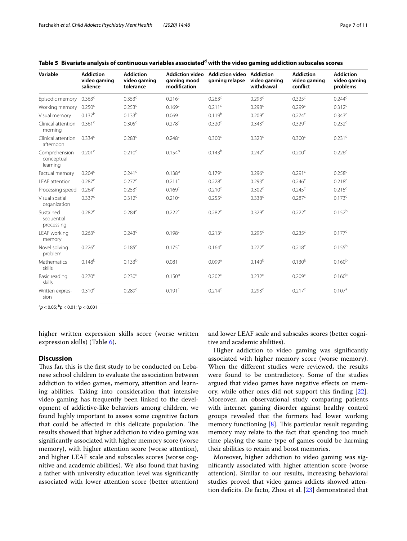| Variable                                | <b>Addiction</b><br>video gaming<br>salience | <b>Addiction</b><br>video gaming<br>tolerance | <b>Addiction video</b><br>gaming mood<br>modification | <b>Addiction video Addiction</b><br>gaming relapse | video gaming<br>withdrawal | <b>Addiction</b><br>video gaming<br>conflict | <b>Addiction</b><br>video gaming<br>problems |
|-----------------------------------------|----------------------------------------------|-----------------------------------------------|-------------------------------------------------------|----------------------------------------------------|----------------------------|----------------------------------------------|----------------------------------------------|
| Episodic memory 0.363 <sup>c</sup>      |                                              | 0.353 <sup>c</sup>                            | 0.216 <sup>c</sup>                                    | $0.263^c$                                          | 0.293 <sup>c</sup>         | 0.325c                                       | 0.244c                                       |
| Working memory                          | 0.250 <sup>c</sup>                           | $0.253^c$                                     | 0.169 <sup>c</sup>                                    | $0.211$ <sup>c</sup>                               | $0.298^c$                  | 0.299 <sup>c</sup>                           | $0.312^c$                                    |
| Visual memory                           | $0.137^{b}$                                  | 0.133 <sup>b</sup>                            | 0.069                                                 | $0.119^{b}$                                        | 0.209 <sup>c</sup>         | $0.274^c$                                    | $0.343^c$                                    |
| Clinical attention<br>morning           | 0.361c                                       | 0.305c                                        | 0.278c                                                | 0.320 <sup>c</sup>                                 | 0.343c                     | 0.329 <sup>c</sup>                           | 0.232 <sup>c</sup>                           |
| Clinical attention<br>afternoon         | 0.334c                                       | 0.283 <sup>c</sup>                            | 0.248c                                                | 0.300 <sup>c</sup>                                 | 0.323c                     | 0.300 <sup>c</sup>                           | 0.231c                                       |
| Comprehension<br>conceptual<br>learning | 0.201 <sup>c</sup>                           | $0.210^{c}$                                   | $0.154^{b}$                                           | $0.143^{b}$                                        | $0.242^c$                  | 0.200 <sup>c</sup>                           | 0.226 <sup>c</sup>                           |
| Factual memory                          | 0.204 <sup>c</sup>                           | $0.241$ <sup>c</sup>                          | $0.138^{b}$                                           | 0.179 <sup>c</sup>                                 | $0.296^c$                  | 0.291 <sup>c</sup>                           | $0.258^c$                                    |
| I FAF attention                         | 0.287c                                       | 0.277 <sup>c</sup>                            | 0.211c                                                | 0.228c                                             | 0.293c                     | 0.246 <sup>c</sup>                           | $0.218$ <sup>c</sup>                         |
| Processing speed                        | 0.264c                                       | 0.253c                                        | 0.169 <sup>c</sup>                                    | 0.210 <sup>c</sup>                                 | 0.302c                     | 0.245c                                       | 0.215c                                       |
| Visual spatial<br>organization          | 0.337 <sup>c</sup>                           | $0.312^c$                                     | $0.210^{c}$                                           | $0.255^{\circ}$                                    | 0.338c                     | $0.287^c$                                    | $0.173^c$                                    |
| Sustained<br>sequential<br>processing   | $0.282^c$                                    | 0.284 <sup>c</sup>                            | $0.222$ <sup>c</sup>                                  | $0.282^c$                                          | 0.329 <sup>c</sup>         | 0.222 <sup>c</sup>                           | $0.152^{b}$                                  |
| <b>LEAF</b> working<br>memory           | $0.263^c$                                    | 0.243c                                        | 0.198 <sup>c</sup>                                    | 0.213c                                             | 0.295c                     | 0.235 <sup>c</sup>                           | $0.177^c$                                    |
| Novel solving<br>problem                | 0.226c                                       | 0.185c                                        | 0.175c                                                | $0.164^c$                                          | 0.272c                     | $0.218^{c}$                                  | $0.155^{b}$                                  |
| Mathematics<br>skills                   | $0.148^{b}$                                  | 0.133 <sup>b</sup>                            | 0.081                                                 | $0.099$ <sup>a</sup>                               | $0.140^{b}$                | $0.130^{b}$                                  | $0.160^{b}$                                  |
| Basic reading<br>skills                 | $0.270^{c}$                                  | 0.230 <sup>c</sup>                            | $0.150^{b}$                                           | $0.202^c$                                          | $0.232^c$                  | 0.209 <sup>c</sup>                           | $0.160^{b}$                                  |
| Written expres-<br>sion                 | 0.310 <sup>c</sup>                           | 0.289c                                        | 0.191 <sup>c</sup>                                    | 0.214c                                             | 0.293c                     | 0.217c                                       | 0.107 <sup>a</sup>                           |

# <span id="page-6-0"></span>**Table 5 Bivariate analysis of continuous variables associatedd with the video gaming addiction subscales scores**

<sup>a</sup> $p$  < 0.05; <sup>b</sup> $p$  < 0.01; <sup>c</sup> $p$  < 0.001

higher written expression skills score (worse written expression skills) (Table [6\)](#page-7-0).

#### **Discussion**

Thus far, this is the first study to be conducted on Lebanese school children to evaluate the association between addiction to video games, memory, attention and learning abilities. Taking into consideration that intensive video gaming has frequently been linked to the development of addictive-like behaviors among children, we found highly important to assess some cognitive factors that could be affected in this delicate population. The results showed that higher addiction to video gaming was signifcantly associated with higher memory score (worse memory), with higher attention score (worse attention), and higher LEAF scale and subscales scores (worse cognitive and academic abilities). We also found that having a father with university education level was signifcantly associated with lower attention score (better attention)

and lower LEAF scale and subscales scores (better cognitive and academic abilities).

Higher addiction to video gaming was signifcantly associated with higher memory score (worse memory). When the diferent studies were reviewed, the results were found to be contradictory. Some of the studies argued that video games have negative efects on memory, while other ones did not support this fnding [\[22](#page-9-21)]. Moreover, an observational study comparing patients with internet gaming disorder against healthy control groups revealed that the formers had lower working memory functioning  $[8]$  $[8]$ . This particular result regarding memory may relate to the fact that spending too much time playing the same type of games could be harming their abilities to retain and boost memories.

Moreover, higher addiction to video gaming was signifcantly associated with higher attention score (worse attention). Similar to our results, increasing behavioral studies proved that video games addicts showed attention deficits. De facto, Zhou et al.  $[23]$  $[23]$  demonstrated that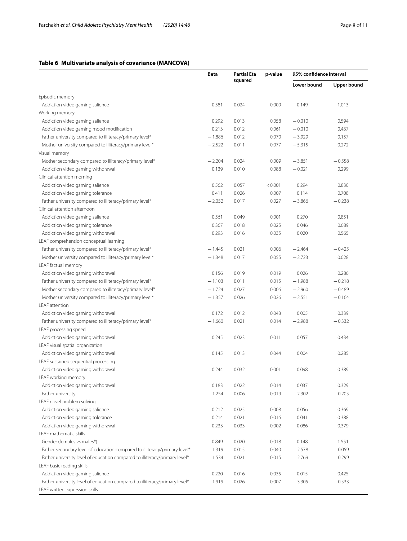# <span id="page-7-0"></span>**Table 6 Multivariate analysis of covariance (MANCOVA)**

|                                                                            | Beta     | <b>Partial Eta</b> | p-value | 95% confidence interval |             |  |
|----------------------------------------------------------------------------|----------|--------------------|---------|-------------------------|-------------|--|
|                                                                            |          | squared            |         | Lower bound             | Upper bound |  |
| Episodic memory                                                            |          |                    |         |                         |             |  |
| Addiction video gaming salience                                            | 0.581    | 0.024              | 0.009   | 0.149                   | 1.013       |  |
| Working memory                                                             |          |                    |         |                         |             |  |
| Addiction video gaming salience                                            | 0.292    | 0.013              | 0.058   | $-0.010$                | 0.594       |  |
| Addiction video gaming mood modification                                   | 0.213    | 0.012              | 0.061   | $-0.010$                | 0.437       |  |
| Father university compared to illiteracy/primary level*                    | $-1.886$ | 0.012              | 0.070   | $-3.929$                | 0.157       |  |
| Mother university compared to illiteracy/primary level*                    | $-2.522$ | 0.011              | 0.077   | $-5.315$                | 0.272       |  |
| Visual memory                                                              |          |                    |         |                         |             |  |
| Mother secondary compared to illiteracy/primary level*                     | $-2.204$ | 0.024              | 0.009   | $-3.851$                | $-0.558$    |  |
| Addiction video gaming withdrawal                                          | 0.139    | 0.010              | 0.088   | $-0.021$                | 0.299       |  |
| Clinical attention morning                                                 |          |                    |         |                         |             |  |
| Addiction video gaming salience                                            | 0.562    | 0.057              | < 0.001 | 0.294                   | 0.830       |  |
| Addiction video gaming tolerance                                           | 0.411    | 0.026              | 0.007   | 0.114                   | 0.708       |  |
| Father university compared to illiteracy/primary level*                    | $-2.052$ | 0.017              | 0.027   | $-3.866$                | $-0.238$    |  |
| Clinical attention afternoon                                               |          |                    |         |                         |             |  |
| Addiction video gaming salience                                            | 0.561    | 0.049              | 0.001   | 0.270                   | 0.851       |  |
| Addiction video gaming tolerance                                           | 0.367    | 0.018              | 0.025   | 0.046                   | 0.689       |  |
| Addiction video gaming withdrawal                                          | 0.293    | 0.016              | 0.035   | 0.020                   | 0.565       |  |
| LEAF comprehension conceptual learning                                     |          |                    |         |                         |             |  |
| Father university compared to illiteracy/primary level*                    | $-1.445$ | 0.021              | 0.006   | $-2.464$                | $-0.425$    |  |
| Mother university compared to illiteracy/primary level*                    |          | 0.017              |         | $-2.723$                |             |  |
|                                                                            | $-1.348$ |                    | 0.055   |                         | 0.028       |  |
| LEAF factual memory                                                        |          |                    |         |                         |             |  |
| Addiction video gaming withdrawal                                          | 0.156    | 0.019              | 0.019   | 0.026                   | 0.286       |  |
| Father university compared to illiteracy/primary level*                    | $-1.103$ | 0.011              | 0.015   | $-1.988$                | $-0.218$    |  |
| Mother secondary compared to illiteracy/primary level*                     | $-1.724$ | 0.027              | 0.006   | $-2.960$                | $-0.489$    |  |
| Mother university compared to illiteracy/primary level*                    | $-1.357$ | 0.026              | 0.026   | $-2.551$                | $-0.164$    |  |
| LEAF attention                                                             |          |                    |         |                         |             |  |
| Addiction video gaming withdrawal                                          | 0.172    | 0.012              | 0.043   | 0.005                   | 0.339       |  |
| Father university compared to illiteracy/primary level*                    | $-1.660$ | 0.021              | 0.014   | $-2.988$                | $-0.332$    |  |
| LEAF processing speed                                                      |          |                    |         |                         |             |  |
| Addiction video gaming withdrawal                                          | 0.245    | 0.023              | 0.011   | 0.057                   | 0.434       |  |
| LEAF visual spatial organization                                           |          |                    |         |                         |             |  |
| Addiction video gaming withdrawal                                          | 0.145    | 0.013              | 0.044   | 0.004                   | 0.285       |  |
| LEAF sustained sequential processing                                       |          |                    |         |                         |             |  |
| Addiction video gaming withdrawal                                          | 0.244    | 0.032              | 0.001   | 0.098                   | 0.389       |  |
| LEAF working memory                                                        |          |                    |         |                         |             |  |
| Addiction video gaming withdrawal                                          | 0.183    | 0.022              | 0.014   | 0.037                   | 0.329       |  |
| Father university                                                          | $-1.254$ | 0.006              | 0.019   | $-2.302$                | $-0.205$    |  |
| LEAF novel problem solving                                                 |          |                    |         |                         |             |  |
| Addiction video gaming salience                                            | 0.212    | 0.025              | 0.008   | 0.056                   | 0.369       |  |
| Addiction video gaming tolerance                                           | 0.214    | 0.021              | 0.016   | 0.041                   | 0.388       |  |
| Addiction video gaming withdrawal                                          | 0.233    | 0.033              | 0.002   | 0.086                   | 0.379       |  |
| LEAF mathematic skills                                                     |          |                    |         |                         |             |  |
| Gender (females vs males*)                                                 | 0.849    | 0.020              | 0.018   | 0.148                   | 1.551       |  |
| Father secondary level of education compared to illiteracy/primary level*  | $-1.319$ | 0.015              | 0.040   | $-2.578$                | $-0.059$    |  |
| Father university level of education compared to illiteracy/primary level* | $-1.534$ | 0.021              | 0.015   | $-2.769$                | $-0.299$    |  |
| LEAF basic reading skills                                                  |          |                    |         |                         |             |  |
| Addiction video gaming salience                                            | 0.220    | 0.016              | 0.035   | 0.015                   | 0.425       |  |
| Father university level of education compared to illiteracy/primary level* | $-1.919$ | 0.026              | 0.007   | $-3.305$                | $-0.533$    |  |
| LEAF written expression skills                                             |          |                    |         |                         |             |  |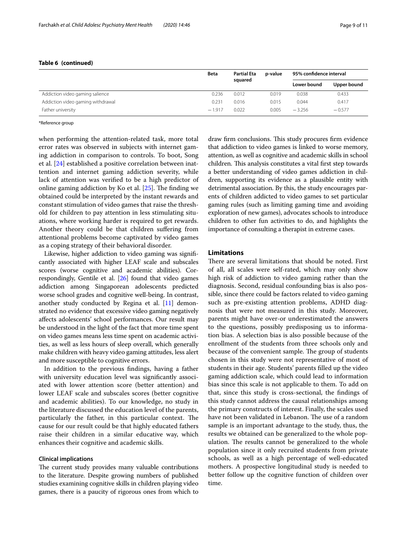|                                   | Beta     | <b>Partial Eta</b><br>squared | p-value | 95% confidence interval |             |
|-----------------------------------|----------|-------------------------------|---------|-------------------------|-------------|
|                                   |          |                               |         | Lower bound             | Upper bound |
| Addiction video gaming salience   | 0.236    | 0.012                         | 0.019   | 0.038                   | 0.433       |
| Addiction video gaming withdrawal | 0.231    | 0.016                         | 0.015   | 0.044                   | 0.417       |
| Father university                 | $-1.917$ | 0.022                         | 0.005   | $-3.256$                | $-0.577$    |
|                                   |          |                               |         |                         |             |

#### **Table 6 (continued)**

\*Reference group

when performing the attention-related task, more total error rates was observed in subjects with internet gaming addiction in comparison to controls. To boot, Song et al. [\[24\]](#page-10-0) established a positive correlation between inattention and internet gaming addiction severity, while lack of attention was verifed to be a high predictor of online gaming addiction by Ko et al.  $[25]$  $[25]$  $[25]$ . The finding we obtained could be interpreted by the instant rewards and constant stimulation of video games that raise the threshold for children to pay attention in less stimulating situations, where working harder is required to get rewards. Another theory could be that children sufering from attentional problems become captivated by video games as a coping strategy of their behavioral disorder.

Likewise, higher addiction to video gaming was signifcantly associated with higher LEAF scale and subscales scores (worse cognitive and academic abilities). Correspondingly, Gentile et al. [\[26\]](#page-10-2) found that video games addiction among Singaporean adolescents predicted worse school grades and cognitive well-being. In contrast, another study conducted by Regina et al. [\[11](#page-9-10)] demonstrated no evidence that excessive video gaming negatively afects adolescents' school performances. Our result may be understood in the light of the fact that more time spent on video games means less time spent on academic activities, as well as less hours of sleep overall, which generally make children with heavy video gaming attitudes, less alert and more susceptible to cognitive errors.

In addition to the previous fndings, having a father with university education level was signifcantly associated with lower attention score (better attention) and lower LEAF scale and subscales scores (better cognitive and academic abilities). To our knowledge, no study in the literature discussed the education level of the parents, particularly the father, in this particular context. The cause for our result could be that highly educated fathers raise their children in a similar educative way, which enhances their cognitive and academic skills.

#### **Clinical implications**

The current study provides many valuable contributions to the literature. Despite growing numbers of published studies examining cognitive skills in children playing video games, there is a paucity of rigorous ones from which to draw firm conclusions. This study procures firm evidence that addiction to video games is linked to worse memory, attention, as well as cognitive and academic skills in school children. This analysis constitutes a vital first step towards a better understanding of video games addiction in children, supporting its evidence as a plausible entity with detrimental association. By this, the study encourages parents of children addicted to video games to set particular gaming rules (such as limiting gaming time and avoiding exploration of new games), advocates schools to introduce children to other fun activities to do, and highlights the importance of consulting a therapist in extreme cases.

### **Limitations**

There are several limitations that should be noted. First of all, all scales were self-rated, which may only show high risk of addiction to video gaming rather than the diagnosis. Second, residual confounding bias is also possible, since there could be factors related to video gaming such as pre-existing attention problems, ADHD diagnosis that were not measured in this study. Moreover, parents might have over-or underestimated the answers to the questions, possibly predisposing us to information bias. A selection bias is also possible because of the enrollment of the students from three schools only and because of the convenient sample. The group of students chosen in this study were not representative of most of students in their age. Students' parents flled up the video gaming addiction scale, which could lead to information bias since this scale is not applicable to them. To add on that, since this study is cross-sectional, the fndings of this study cannot address the causal relationships among the primary constructs of interest. Finally, the scales used have not been validated in Lebanon. The use of a random sample is an important advantage to the study, thus, the results we obtained can be generalized to the whole population. The results cannot be generalized to the whole population since it only recruited students from private schools, as well as a high percentage of well-educated mothers. A prospective longitudinal study is needed to better follow up the cognitive function of children over time.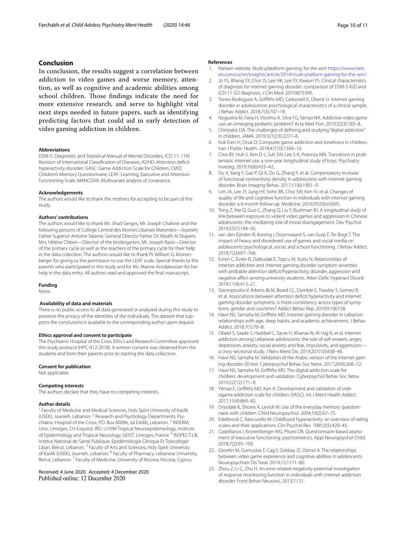#### **Conclusion**

In conclusion, the results suggest a correlation between addiction to video games and worse memory, attention, as well as cognitive and academic abilities among school children. Those findings indicate the need for more extensive research, and serve to highlight vital next steps needed in future papers, such as identifying predicting factors that could aid in early detection of video gaming addiction in children.

#### **Abbreviations**

DSM-5: Diagnostic and Statistical Manual of Mental Disorders; ICD-11: 11th Revision of International Classifcation of Diseases; ADHD: Attention defcit hyperactivity disorder; GASC: Game Addiction Scale for Children; CMQ: Children's Memory Questionnaire; LEAF: Learning, Executive and Attention Functioning Scale; MANCOVA: Multivariate analysis of covariance.

#### **Acknowledgements**

The authors would like to thank the mothers for accepting to be part of this study.

#### **Authors' contributions**

The authors would like to thank Mr. Jihad Gerges, Mr. Joseph Chahine and the following persons of College Central des Moines Libanais Maronites—Jounieh: Father Superior Antoine Salame, General Director Father Dr. Wadih Al Skayem, Mrs. Hélène Chbeir—Director of the kindergarten, Mr. Joseph Rassi—Director of the primary cycle as well as the teachers of the primary cycle for their help in the data collection. The authors would like to thank Pr. William G. Kronenberger for giving us the permission to use the LEAF scale. Special thanks to the parents who participated in this study and for Ms. Marine Arisdakessian for her help in the data entry. All authors read and approved the fnal manuscript.

#### **Funding**

None.

#### **Availability of data and materials**

There is no public access to all data generated or analyzed during this study to preserve the privacy of the identities of the individuals. The dataset that supports the conclusions is available to the corresponding author upon request.

#### **Ethics approval and consent to participate**

The Psychiatric Hospital of the Cross Ethics and Research Committee approved this study protocol (HPC-012-2018). A written consent was obtained from the students and from their parents prior to starting the data collection.

#### **Consent for publication**

Not applicable.

#### **Competing interests**

The authors declare that they have no competing interests.

#### **Author details**

<sup>1</sup> Faculty of Medicine and Medical Sciences, Holy Spirit University of Kaslik (USEK), Jounieh, Lebanon. <sup>2</sup> Research and Psychology Departments, Psychiatric Hospital of the Cross, P.O. Box 60096, Jal Eddib, Lebanon.<sup>3</sup> INSERM, Univ. Limoges, CH Esquirol, IRD, U1094 Tropical Neuroepidemiology, Institute of Epidemiology and Tropical Neurology, GEIST, Limoges, France. 4 INSPECT-LB: Institut National de Santé Publique, Epidémiologie Clinique Et Toxicologie-Liban, Beirut, Lebanon.<sup>5</sup> Faculty of Arts and Sciences, Holy Spirit University of Kaslik (USEK), Jounieh, Lebanon. <sup>6</sup> Faculty of Pharmacy, Lebanese University, Beirut, Lebanon.<sup>7</sup> Faculty of Medicine, University of Nicosia, Nicosia, Cyprus.

#### Received: 4 June 2020 Accepted: 4 December 2020 Published online: 12 December 2020

#### **References**

- <span id="page-9-0"></span>1. Nielsen website. Multi-plateform gaming: for the win! [https://www.niels](https://www.nielsen.com/us/en/insights/article/2014/multi-platform-gaming-for-the-win/) [en.com/us/en/insights/article/2014/multi-platform-gaming-for-the-win/](https://www.nielsen.com/us/en/insights/article/2014/multi-platform-gaming-for-the-win/).
- <span id="page-9-1"></span>2. Jo YS, Bhang SY, Choi JS, Lee HK, Lee SY, Kweon YS. Clinical characteristics of diagnosis for internet gaming disorder: comparison of DSM-5 IGD and ICD-11 GD diagnosis. J Clin Med. 2019;8(7):945.
- <span id="page-9-2"></span>3. Torres-Rodriguez A, Grifths MD, Carbonell X, Oberst U. Internet gaming disorder in adolescence: psychological characteristics of a clinical sample. J Behav Addict. 2018;7(3):707–18.
- <span id="page-9-3"></span>4. Nogueira M, Faria H, Vitorino A, Silva FG, Serrao NA. Addictive video game use: an emerging pediatric problem? Acta Med Port. 2019;32(3):183–8.
- <span id="page-9-4"></span>5. Christakis DA. The challenges of defning and studying "digital addiction" in children. JAMA. 2019;321(23):2277–8.
- <span id="page-9-5"></span>6. Kok Eren H, Orsal O. Computer game addiction and loneliness in children. Iran J Public Health. 2018;47(10):1504–10.
- <span id="page-9-6"></span>7. Choi BY, Huh S, Kim D-J, Suh SW, Lee S-K, Potenza MN. Transitions in problematic internet use: a one-year longitudinal study of boys. Psychiatry Investig. 2019;16(6):433–42.
- <span id="page-9-7"></span>8. Du X, Yang Y, Gao P, Qi X, Du G, Zhang Y, et al. Compensatory increase of functional connectivity density in adolescents with internet gaming disorder. Brain Imaging Behav. 2017;11(6):1901–9.
- <span id="page-9-8"></span>9. Lim JA, Lee JY, Jung HY, Sohn BK, Choi SW, Kim YJ, et al. Changes of quality of life and cognitive function in individuals with internet gaming disorder: a 6-month follow-up. Medicine. 2016;95(50):e5695.
- <span id="page-9-9"></span>10. Teng Z, Nie Q, Guo C, Zhang Q, Liu Y, Bushman BJ. A longitudinal study of link between exposure to violent video games and aggression in Chinese adolescents: the mediating role of moral disengagement. Dev Psychol. 2019;55(1):184–95.
- <span id="page-9-10"></span>11. van den Eijnden R, Koning I, Doornwaard S, van Gurp F, Ter Bogt T. The impact of heavy and disordered use of games and social media on adolescents' psychological, social, and school functioning. J Behav Addict. 2018;7(3):697–706.
- <span id="page-9-11"></span>12. Evren C, Evren B, Dalbudak E, Topcu M, Kutlu N. Relationships of internet addiction and Internet gaming disorder symptom severities with probable attention deficit/hyperactivity disorder, aggression and negative afect among university students. Atten Defc Hyperact Disord. 2019;11(4):413–21.
- <span id="page-9-12"></span>13. Stavropoulos V, Adams BLM, Beard CL, Dumble E, Trawley S, Gomez R, et al. Associations between attention defcit hyperactivity and internet gaming disorder symptoms: is there consistency across types of symptoms, gender and countries? Addict Behav Rep. 2019;9:100158.
- <span id="page-9-13"></span>14. Hawi NS, Samaha M, Grifths MD. Internet gaming disorder in Lebanon: relationships with age, sleep habits, and academic achievement. J Behav Addict. 2018;7(1):70–8.
- <span id="page-9-14"></span>15. Obeid S, Saade S, Haddad C, Sacre H, Khansa W, Al Hajj R, et al. Internet addiction among Lebanese adolescents: the role of self-esteem, anger, depression, anxiety, social anxiety and fear, impulsivity, and aggression a cross-sectional study. J Nerv Ment Dis. 2019;207(10):838–46.
- <span id="page-9-15"></span>16. Hawi NS, Samaha M. Validation of the Arabic version of the internet gaming disorder-20 test. Cyberpsychol Behav Soc Netw. 2017;20(4):268–72.
- <span id="page-9-16"></span>17. Hawi NS, Samaha M, Grifths MD. The digital addiction scale for children: development and validation. Cyberpsychol Behav Soc Netw. 2019;22(12):771–8.
- <span id="page-9-17"></span>18. Yılmaz E, Griffiths MD, Kan A. Development and validation of videogame addiction scale for children (VASC). Int J Ment Health Addict. 2017;15(4):869–82.
- <span id="page-9-18"></span>19. Drysdale K, Shores A, Levick W. Use of the everyday memory questionnaire with children. Child Neuropsychol. 2004;10(2):67–75.
- <span id="page-9-19"></span>20. Edelbrock C, Rancurello M. Childhood hyperactivity: an overview of rating scales and their applications. Clin Psychol Rev. 1985;5(5):429–45.
- <span id="page-9-20"></span>21. Castellanos I, Kronenberger WG, Pisoni DB. Questionnaire-based assessment of executive functioning: psychometrics. Appl Neuropsychol Child. 2018;7(2):93–109.
- <span id="page-9-21"></span>22. Ozcetin M, Gumustas F, Cag Y, Gokbay IZ, Ozmel A. The relationships between video game experience and cognitive abilities in adolescents. Neuropsychiatr Dis Treat. 2019;15:1171–80.
- <span id="page-9-22"></span>23. Zhou Z, Li C, Zhu H. An error-related negativity potential investigation of response monitoring function in individuals with internet addiction disorder. Front Behav Neurosci. 2013;7:131.